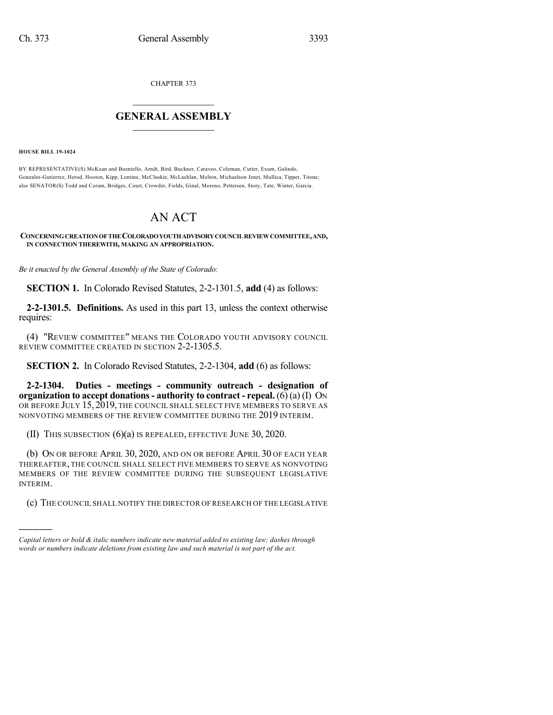CHAPTER 373

## $\overline{\phantom{a}}$  . The set of the set of the set of the set of the set of the set of the set of the set of the set of the set of the set of the set of the set of the set of the set of the set of the set of the set of the set o **GENERAL ASSEMBLY**  $\frac{1}{\sqrt{2}}$

**HOUSE BILL 19-1024**

)))))

BY REPRESENTATIVE(S) McKean and Buentello, Arndt, Bird, Buckner, Caraveo, Coleman, Cutter, Exum, Galindo, Gonzales-Gutierrez, Herod, Hooton, Kipp, Lontine, McCluskie, McLachlan, Melton, Michaelson Jenet, Mullica, Tipper, Titone; also SENATOR(S) Todd and Coram, Bridges, Court, Crowder, Fields, Ginal, Moreno, Pettersen, Story, Tate, Winter, Garcia.

## AN ACT

## **CONCERNINGCREATIONOFTHECOLORADOYOUTHADVISORYCOUNCILREVIEWCOMMITTEE,AND, IN CONNECTION THEREWITH, MAKING AN APPROPRIATION.**

*Be it enacted by the General Assembly of the State of Colorado:*

**SECTION 1.** In Colorado Revised Statutes, 2-2-1301.5, **add** (4) as follows:

**2-2-1301.5. Definitions.** As used in this part 13, unless the context otherwise requires:

(4) "REVIEW COMMITTEE" MEANS THE COLORADO YOUTH ADVISORY COUNCIL REVIEW COMMITTEE CREATED IN SECTION 2-2-1305.5.

**SECTION 2.** In Colorado Revised Statutes, 2-2-1304, **add** (6) as follows:

**2-2-1304. Duties - meetings - community outreach - designation of organization to accept donations- authority to contract - repeal.** (6) (a) (I) ON OR BEFORE JULY 15, 2019, THE COUNCIL SHALL SELECT FIVE MEMBERS TO SERVE AS NONVOTING MEMBERS OF THE REVIEW COMMITTEE DURING THE 2019 INTERIM.

(II) THIS SUBSECTION (6)(a) IS REPEALED, EFFECTIVE JUNE 30, 2020.

(b) ON OR BEFORE APRIL 30, 2020, AND ON OR BEFORE APRIL 30 OF EACH YEAR THEREAFTER, THE COUNCIL SHALL SELECT FIVE MEMBERS TO SERVE AS NONVOTING MEMBERS OF THE REVIEW COMMITTEE DURING THE SUBSEQUENT LEGISLATIVE INTERIM.

(c) THE COUNCIL SHALL NOTIFY THE DIRECTOR OF RESEARCH OF THE LEGISLATIVE

*Capital letters or bold & italic numbers indicate new material added to existing law; dashes through words or numbers indicate deletions from existing law and such material is not part of the act.*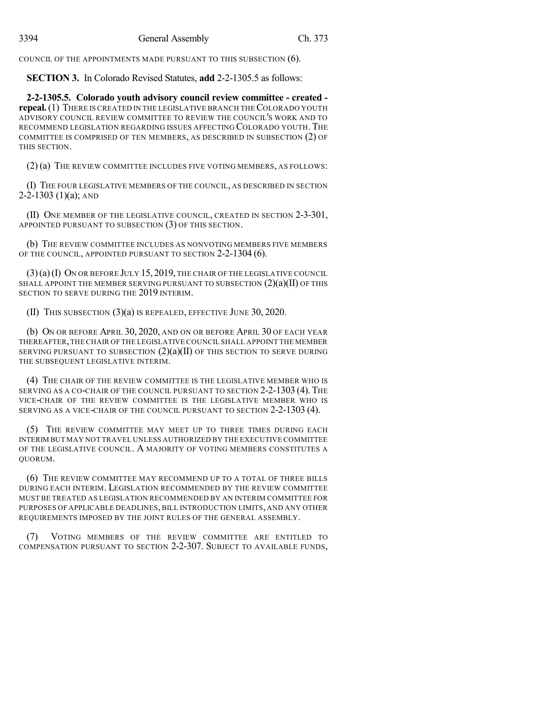COUNCIL OF THE APPOINTMENTS MADE PURSUANT TO THIS SUBSECTION (6).

**SECTION 3.** In Colorado Revised Statutes, **add** 2-2-1305.5 as follows:

**2-2-1305.5. Colorado youth advisory council review committee - created repeal.** (1) THERE IS CREATED IN THE LEGISLATIVE BRANCH THE COLORADO YOUTH ADVISORY COUNCIL REVIEW COMMITTEE TO REVIEW THE COUNCIL'S WORK AND TO RECOMMEND LEGISLATION REGARDING ISSUES AFFECTING COLORADO YOUTH. THE COMMITTEE IS COMPRISED OF TEN MEMBERS, AS DESCRIBED IN SUBSECTION (2) OF THIS SECTION.

(2) (a) THE REVIEW COMMITTEE INCLUDES FIVE VOTING MEMBERS, AS FOLLOWS:

(I) THE FOUR LEGISLATIVE MEMBERS OF THE COUNCIL, AS DESCRIBED IN SECTION  $2-2-1303$  (1)(a); AND

(II) ONE MEMBER OF THE LEGISLATIVE COUNCIL, CREATED IN SECTION 2-3-301, APPOINTED PURSUANT TO SUBSECTION (3) OF THIS SECTION.

(b) THE REVIEW COMMITTEE INCLUDES AS NONVOTING MEMBERS FIVE MEMBERS OF THE COUNCIL, APPOINTED PURSUANT TO SECTION 2-2-1304 (6).

(3)(a)(I) ON OR BEFORE JULY 15, 2019, THE CHAIR OF THE LEGISLATIVE COUNCIL SHALL APPOINT THE MEMBER SERVING PURSUANT TO SUBSECTION  $(2)(a)(II)$  OF THIS SECTION TO SERVE DURING THE 2019 INTERIM.

(II) THIS SUBSECTION (3)(a) IS REPEALED, EFFECTIVE JUNE 30, 2020.

(b) ON OR BEFORE APRIL 30, 2020, AND ON OR BEFORE APRIL 30 OF EACH YEAR THEREAFTER,THE CHAIR OF THE LEGISLATIVE COUNCIL SHALL APPOINT THE MEMBER SERVING PURSUANT TO SUBSECTION  $(2)(a)(II)$  OF THIS SECTION TO SERVE DURING THE SUBSEQUENT LEGISLATIVE INTERIM.

(4) THE CHAIR OF THE REVIEW COMMITTEE IS THE LEGISLATIVE MEMBER WHO IS SERVING AS A CO-CHAIR OF THE COUNCIL PURSUANT TO SECTION 2-2-1303 (4). THE VICE-CHAIR OF THE REVIEW COMMITTEE IS THE LEGISLATIVE MEMBER WHO IS SERVING AS A VICE-CHAIR OF THE COUNCIL PURSUANT TO SECTION 2-2-1303 (4).

(5) THE REVIEW COMMITTEE MAY MEET UP TO THREE TIMES DURING EACH INTERIM BUT MAY NOT TRAVEL UNLESS AUTHORIZED BY THE EXECUTIVE COMMITTEE OF THE LEGISLATIVE COUNCIL. A MAJORITY OF VOTING MEMBERS CONSTITUTES A QUORUM.

(6) THE REVIEW COMMITTEE MAY RECOMMEND UP TO A TOTAL OF THREE BILLS DURING EACH INTERIM. LEGISLATION RECOMMENDED BY THE REVIEW COMMITTEE MUST BE TREATED AS LEGISLATION RECOMMENDED BY AN INTERIM COMMITTEE FOR PURPOSES OF APPLICABLE DEADLINES, BILL INTRODUCTION LIMITS, AND ANY OTHER REQUIREMENTS IMPOSED BY THE JOINT RULES OF THE GENERAL ASSEMBLY.

(7) VOTING MEMBERS OF THE REVIEW COMMITTEE ARE ENTITLED TO COMPENSATION PURSUANT TO SECTION 2-2-307. SUBJECT TO AVAILABLE FUNDS,